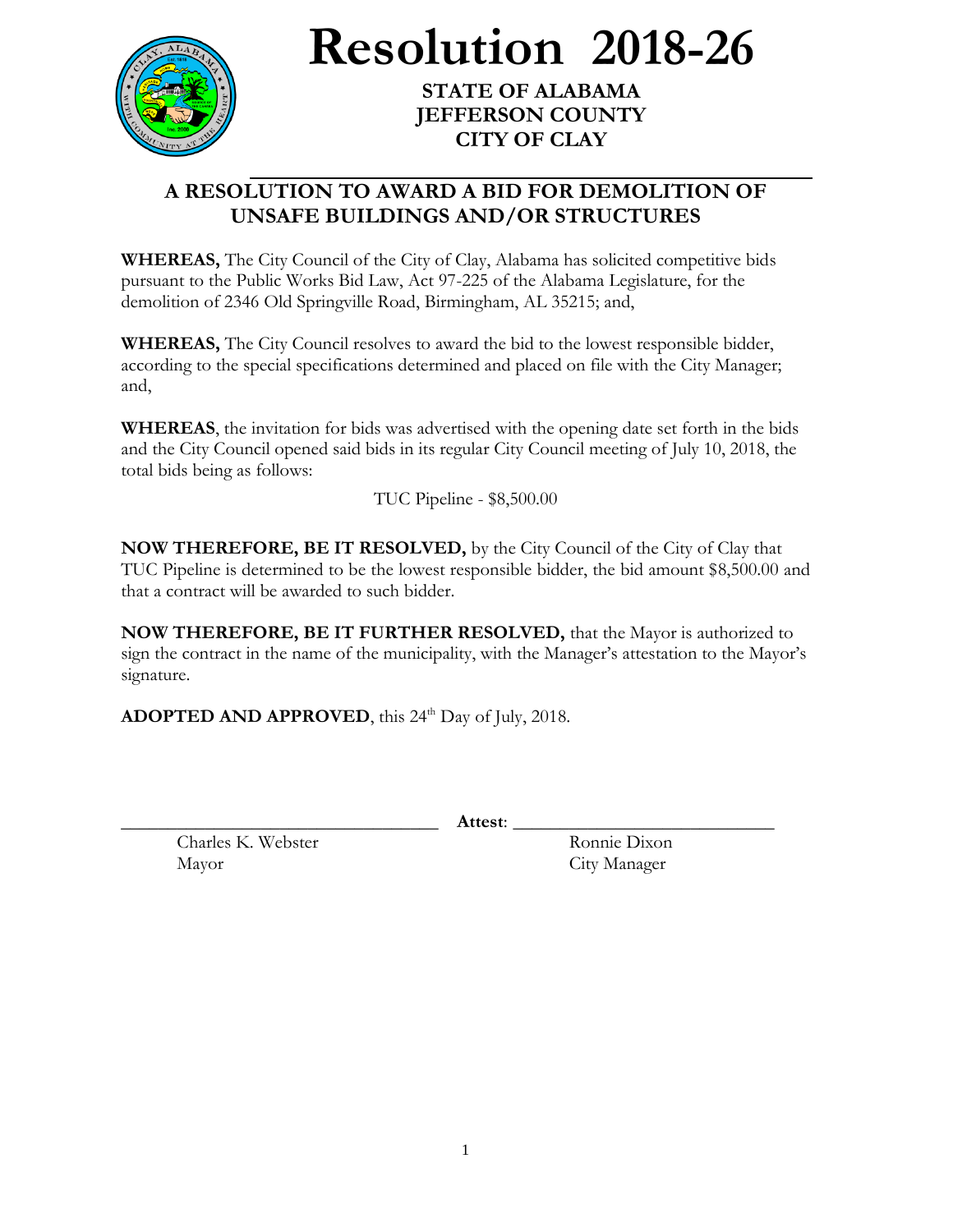

**Resolution 2018-26**

**STATE OF ALABAMA JEFFERSON COUNTY CITY OF CLAY**

## **A RESOLUTION TO AWARD A BID FOR DEMOLITION OF UNSAFE BUILDINGS AND/OR STRUCTURES**

**WHEREAS,** The City Council of the City of Clay, Alabama has solicited competitive bids pursuant to the Public Works Bid Law, Act 97-225 of the Alabama Legislature, for the demolition of 2346 Old Springville Road, Birmingham, AL 35215; and,

**WHEREAS,** The City Council resolves to award the bid to the lowest responsible bidder, according to the special specifications determined and placed on file with the City Manager; and,

**WHEREAS**, the invitation for bids was advertised with the opening date set forth in the bids and the City Council opened said bids in its regular City Council meeting of July 10, 2018, the total bids being as follows:

TUC Pipeline - \$8,500.00

**NOW THEREFORE, BE IT RESOLVED,** by the City Council of the City of Clay that TUC Pipeline is determined to be the lowest responsible bidder, the bid amount \$8,500.00 and that a contract will be awarded to such bidder.

**NOW THEREFORE, BE IT FURTHER RESOLVED,** that the Mayor is authorized to sign the contract in the name of the municipality, with the Manager's attestation to the Mayor's signature.

ADOPTED AND APPROVED, this 24<sup>th</sup> Day of July, 2018.

\_\_\_\_\_\_\_\_\_\_\_\_\_\_\_\_\_\_\_\_\_\_\_\_\_\_\_\_\_\_\_\_\_\_ **Attest**: \_\_\_\_\_\_\_\_\_\_\_\_\_\_\_\_\_\_\_\_\_\_\_\_\_\_\_\_

Charles K. Webster Ronnie Dixon Mayor City Manager